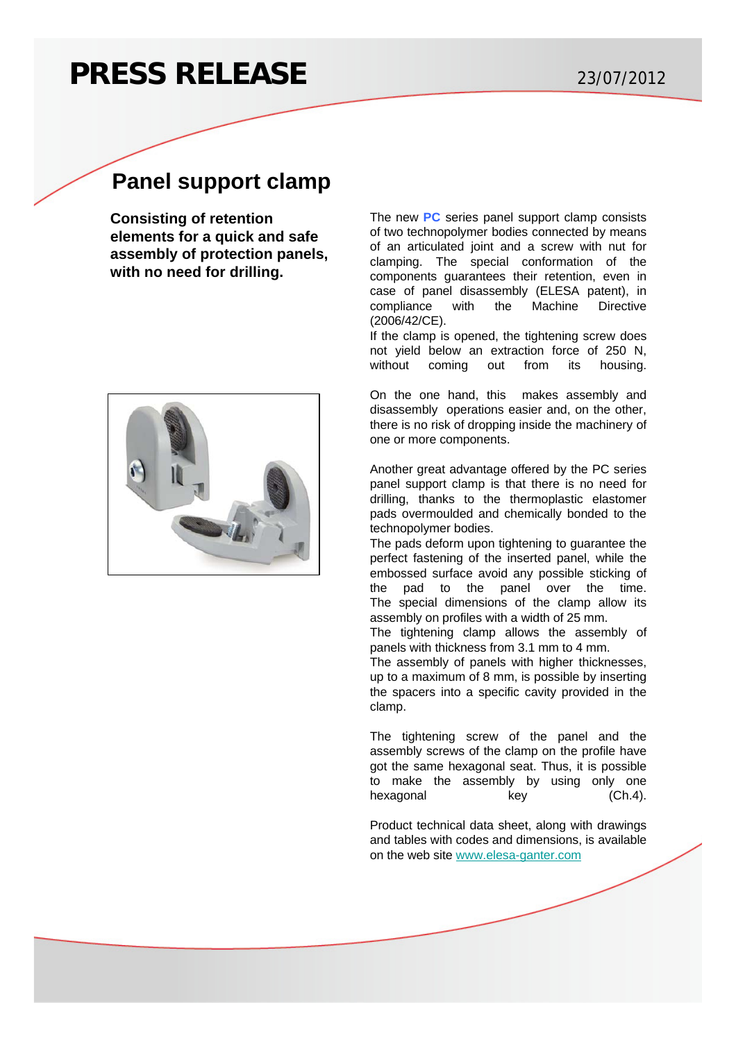## **PRESS RELEASE** 23/07/2012

## **Panel support clamp**

**Consisting of retention elements for a quick and safe assembly of protection panels, with no need for drilling.**



The new **[PC](http://www.elesa-ganter.com/en/2/sp/9271/4/88/panel-support-clamp/pc/eg/)** series panel support clamp consists of two technopolymer bodies connected by means of an articulated joint and a screw with nut for clamping. The special conformation of the components guarantees their retention, even in case of panel disassembly (ELESA patent), in compliance with the Machine Directive (2006/42/CE).

If the clamp is opened, the tightening screw does not yield below an extraction force of 250 N, without coming out from its housing.

On the one hand, this makes assembly and disassembly operations easier and, on the other, there is no risk of dropping inside the machinery of one or more components.

Another great advantage offered by the PC series panel support clamp is that there is no need for drilling, thanks to the thermoplastic elastomer pads overmoulded and chemically bonded to the technopolymer bodies.

The pads deform upon tightening to guarantee the perfect fastening of the inserted panel, while the embossed surface avoid any possible sticking of the pad to the panel over the time. The special dimensions of the clamp allow its assembly on profiles with a width of 25 mm.

The tightening clamp allows the assembly of panels with thickness from 3.1 mm to 4 mm.

The assembly of panels with higher thicknesses, up to a maximum of 8 mm, is possible by inserting the spacers into a specific cavity provided in the clamp.

The tightening screw of the panel and the assembly screws of the clamp on the profile have got the same hexagonal seat. Thus, it is possible to make the assembly by using only one hexagonal key (Ch.4).

Product technical data sheet, along with drawings and tables with codes and dimensions, is available on the web site [www.elesa-ganter.com](http://www.elesa-ganter.com/en/2/default/eg/)